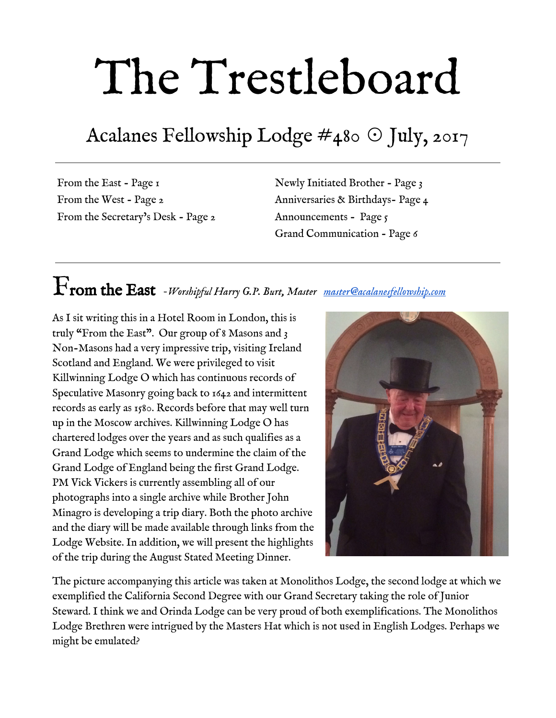# The Trestleboard

## Acalanes Fellowship Lodge  $\#$ 480 ⊙ July, 2017

From the East - Page 1 From the West - Page 2 From the Secretary's Desk - Page 2 Newly Initiated Brother - Page 3 Anniversaries & Birthdays- Page 4 Announcements - Page 5 Grand Communication - Page 6

## From the East *-Worshipful Harry G.P. Burt, Master [master@acalanesfellowship.com](mailto:master@acalanesfellowship.com)*

As I sit writing this in a Hotel Room in London, this is truly "From the East". Our group of 8 Masons and 3 Non-Masons had a very impressive trip, visiting Ireland Scotland and England. We were privileged to visit Killwinning Lodge O which has continuous records of Speculative Masonry going back to 1642 and intermittent records as early as 1580. Records before that may well turn up in the Moscow archives. Killwinning Lodge O has chartered lodges over the years and as such qualifies as a Grand Lodge which seems to undermine the claim of the Grand Lodge of England being the first Grand Lodge. PM Vick Vickers is currently assembling all of our photographs into a single archive while Brother John Minagro is developing a trip diary. Both the photo archive and the diary will be made available through links from the Lodge Website. In addition, we will present the highlights of the trip during the August Stated Meeting Dinner.



The picture accompanying this article was taken at Monolithos Lodge, the second lodge at which we exemplified the California Second Degree with our Grand Secretary taking the role of Junior Steward. I think we and Orinda Lodge can be very proud of both exemplifications. The Monolithos Lodge Brethren were intrigued by the Masters Hat which is not used in English Lodges. Perhaps we might be emulated?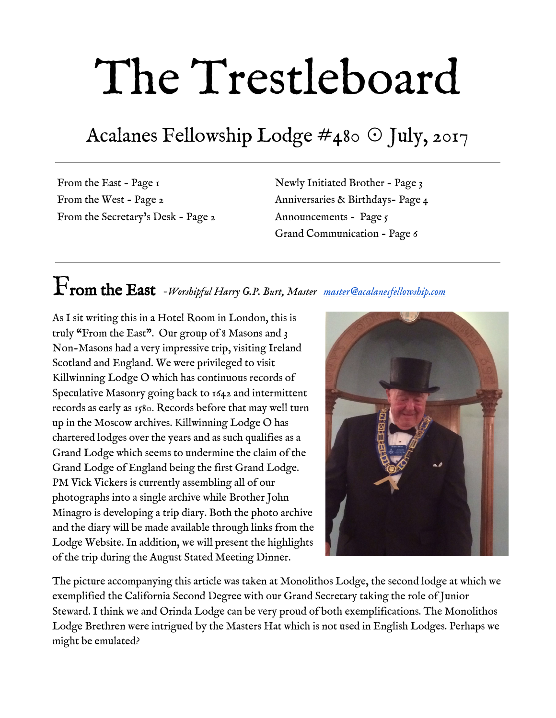It is a sign of the current strength of our Lodge that while five of us were in the UK the Lodge was also able to Initiate Bother Jason Harding. Welcome Brother Harding. I am sure you will absorb and make good use of the lessons of Masonry.

In my absence our Senior Deacon has led the work on our [third annual Luau](https://www.eventbrite.com/e/july-2017-stated-meeting-dinner-and-luau-registration-33672027942?ref=ecal) to be held on July 11 in conjunction with the July Stated Meeting which is moved from July 4 to July 11 at 5 pm. Finally, note we shall be <u>visiting Mendocino Lodge on August 19</u> for the Past Masters Visitation when Brother Leon Zhao will be passed to Fellow Craft. We are planning a Barbeque at the Tunzi Ranch in Comptche, where camping will also be available.

# From the West *Michael Roberts, PM, Senior Warden [srwarden@acalanesfellowship.com](mailto:srwarden@acalanesfellowship.com)*



I would like to express my gratitude to all the officers of Acalanes Fellowship lodge who participated in the excellent initiation of our Brother Harding on Tuesday June 27th. It was a very enjoyable degree and it was an honor to be a part of his Degree team that evening. A special thank you goes out to Orinda Lodge which loaned us their Jewels, aprons and rods for our degree. I'm busy putting the finishing touches on Worshipful Otis Simonsen's upcoming Hiram Award ceremony coming up on Saturday August 12th. The ceremony will be held in our lodge room at 4:30 PM with a catered dinner to follow. A formal invitation will be coming out shortly.

I would like to take this opportunity to request that if any Brother is interested in becoming a lodge Officer OR serve on a committee to please contact me via phone, email or in person. There is always a need for future officers and committee members. I look forward to seeing you all at our annual Luau on Tuesday July 11th. Aloha!

# From the Secretary's Desk *-Fred Lezak, Secretary [secretary@acalanesfellowship.com](mailto:secretary@acalanesfellowship.com)*

OK, so the SF Giants have gotten off to a rough start. There is still some great baseball to come. And that means the Masons4Mitts program is back. Last year California Masons raised over \$80,000 for the Junior Giant program. For a mere twenty bucks you can buy an underprivileged young boy or girl a baseball mitt so they can play this great game in the Junior Giant program. You can give me cash or a check or you can go to  $M$ asons $_4$ Mitts.org. Be sure that you donate through Acalanes Fellowship Lodge or let me know that you donated so I can make sure that the Lodge gets credit.

We are also getting a group together to go to the September 11th game with the L. A. Dodgers. If you are interested, please let me know either on the Lodge app. Or to me directly at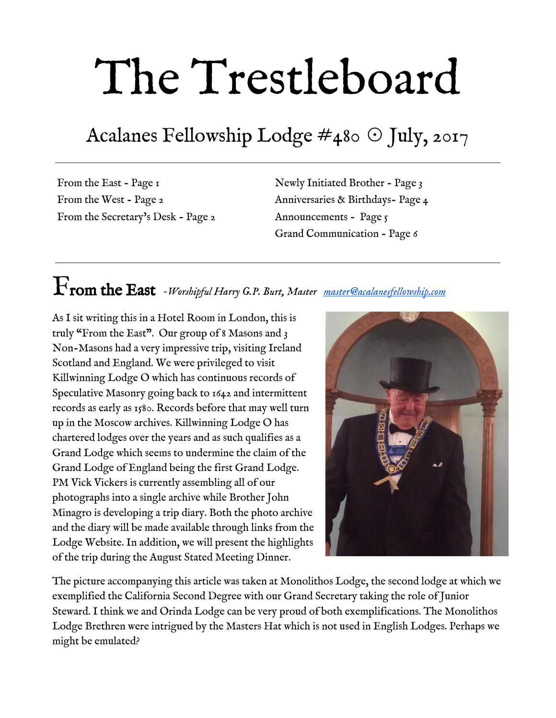#### [Lezak1000@gmail.com](mailto:Lezak1000@gmail.com)

As always, you are invited to attend our stated meeting dinner and meeting on the first Tuesday of any month. The feeling of brotherly love and good fun continues to abound. Our ritual work is solid and getting better. This is the time for you to return to lodge if you haven't been for a while. Don't feel embarrassed or shy. We want you back and I can guarantee you will be welcomed. You will thank yourself for attending. If you need a ride, please call me at (925) 360-4328.

## Congratulations to our newest brother!



Jason Harding - Initiated June 27, 2017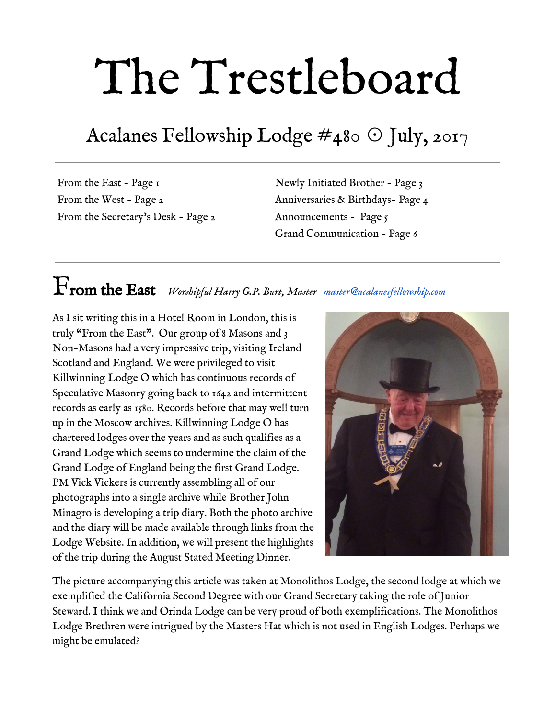

### 3rd Degree Anniversaries

Years a MM

Name Raised



Birthdays

Please join us in wishing our brethren very happy birthdays this month.

| Russell J. Chapman      | July 2          |
|-------------------------|-----------------|
| Christopher M. Urani    | July 2          |
| John P. Minagro         | $\int$ uly 3    |
| Scott E. Carter         | $\int$ uly 7    |
| Donald R. Hansen, PM    | July 8          |
| Charles R. Tolerton, PM | July 8          |
| Gary A. Yanes, PM       | $\int$ uly 10   |
| Michael P. Kenny        | $\lceil$ uly 13 |
| Thomas C. Thompson      | $\lceil$ uly 13 |
| Walter J. Moser         | July 14         |
| Richard N. Young        | July 21         |
| Paul J. Crawford        | $\lceil$ uly 26 |
| William J. Haynes       | $\lceil$ uly 31 |
|                         |                 |

| Eldon G. Keefer    | 7/31/1946                        | 7 <sup>I</sup> |
|--------------------|----------------------------------|----------------|
|                    | <b>SECTION II</b><br><b>Call</b> |                |
|                    |                                  | in 1           |
| <b>BIRTHDE HAT</b> |                                  |                |
|                    |                                  |                |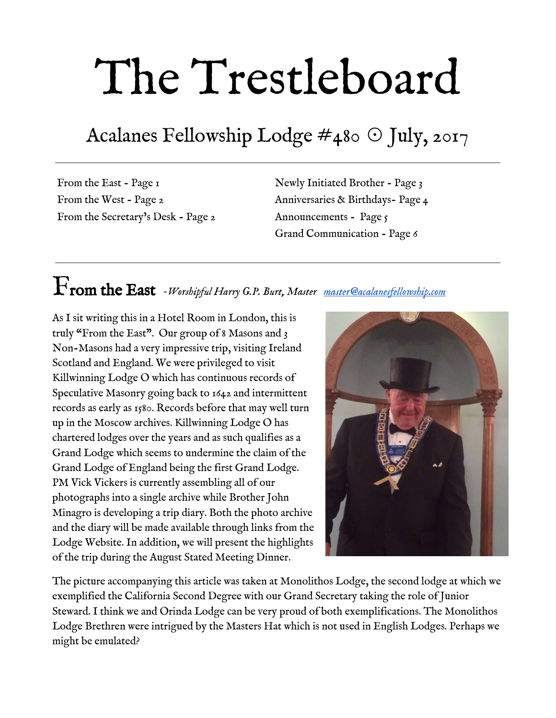#### July Stated Meeting and Luau *July 11, 5:00pm*



It's time for our annual Luau! Put on your ugliest Hawaiian shirt, and get ready to hula the night away. Guests encouraged!

Menu: Hawaiian Grilled Chicken, Kalua Pork, Steamed Rice, Macaroni Salad, Hawaiian Rolls and Butter

Alternatively, you may email [rsvp@acalanes.org](mailto:rsvp@acalanes.org) or call (925) 284-7815 to register.



*Come help our excellent Past MastersTeam* 

*Pass to the Degree of Fellow Craft* 

*Leon Zhao* 

*Saturday, August 19 2:00 pm Mendocino Masonic Lodge*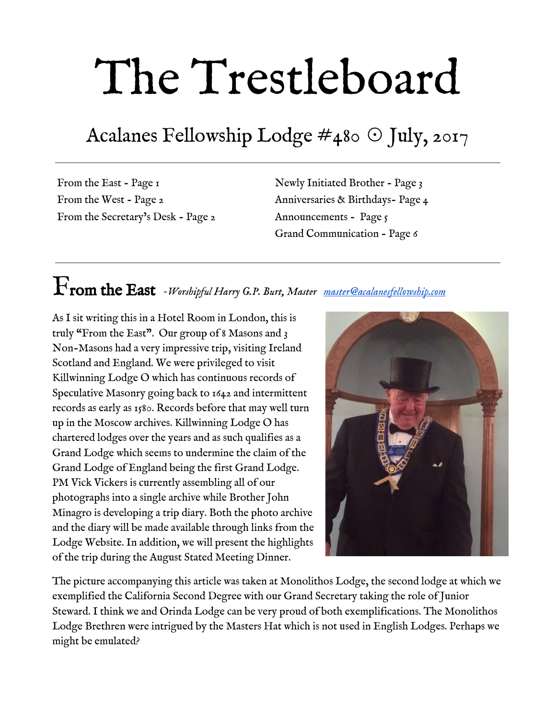

Three hundred years ago, foundations were laid that would inspire and unite generations of gentlemen—foundations that continue to be built on today. Important as ever, the Annual Communication serves as a way to unite us, both in spirit and purpose.

Annual Communication weekend, October 13-15, is an opportunity to recognize the accomplishments of your peers; to salute the grand master and welcome the new one. It's a time to honor the bonds we form between brothers. And, it's a time to make your voice heard – you will direct the future of the fraternity through your vote in our business sessions.

And during this 300th year of Freemasonry, it's different. It's your **once-in-a-lifetime** chance to reflect on the last 300 years as we look to the future. Don't miss your chance to celebrate—the past, the present, and the future.

#### 300th Anniversary Gala and Banquet

Toast to the 300th anniversary of Freemasonry during an unforgettable night at the 300th Anniversary Gala and Banquet, on Saturday evening. Held at the 110-year old Fairmont Hotel—a sparkling jewel atop Nob Hill—the night will reflect the enduring sophistication and revelry of San Francisco's golden era. Mix and mingle during cocktail hour before enjoying a lavish seated dinner, with awards and recognitions throughout the night.

Marking the culmination of a weekend steeped in tradition as well as centuries of shared dedication to freemasonry, the 300th Anniversary Gala and Banquet will be a once-in-a-lifetime celebration of the bonds of brotherhood, and will be a night you'll never forget. Space is limited—reserve your tickets today.

[More Details Here](https://freemason.org/memberCenter/public/annualCommunication.htm)